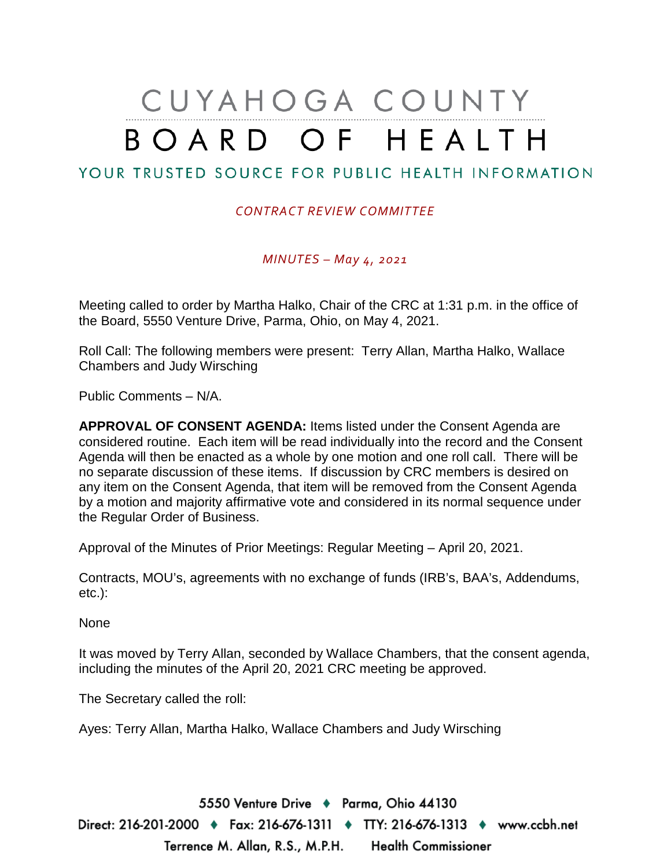# CUYAHOGA COUNTY BOARD OF HEALTH

## YOUR TRUSTED SOURCE FOR PUBLIC HEALTH INFORMATION

#### *CONTRACT REVIEW COMMITTEE*

*MINUTES – May 4, 2021*

Meeting called to order by Martha Halko, Chair of the CRC at 1:31 p.m. in the office of the Board, 5550 Venture Drive, Parma, Ohio, on May 4, 2021.

Roll Call: The following members were present: Terry Allan, Martha Halko, Wallace Chambers and Judy Wirsching

Public Comments – N/A.

**APPROVAL OF CONSENT AGENDA:** Items listed under the Consent Agenda are considered routine. Each item will be read individually into the record and the Consent Agenda will then be enacted as a whole by one motion and one roll call. There will be no separate discussion of these items. If discussion by CRC members is desired on any item on the Consent Agenda, that item will be removed from the Consent Agenda by a motion and majority affirmative vote and considered in its normal sequence under the Regular Order of Business.

Approval of the Minutes of Prior Meetings: Regular Meeting – April 20, 2021.

Contracts, MOU's, agreements with no exchange of funds (IRB's, BAA's, Addendums, etc.):

None

It was moved by Terry Allan, seconded by Wallace Chambers, that the consent agenda, including the minutes of the April 20, 2021 CRC meeting be approved.

The Secretary called the roll:

Ayes: Terry Allan, Martha Halko, Wallace Chambers and Judy Wirsching

5550 Venture Drive + Parma, Ohio 44130 Direct: 216-201-2000 ♦ Fax: 216-676-1311 ♦ TTY: 216-676-1313 ♦ www.ccbh.net Terrence M. Allan, R.S., M.P.H. Health Commissioner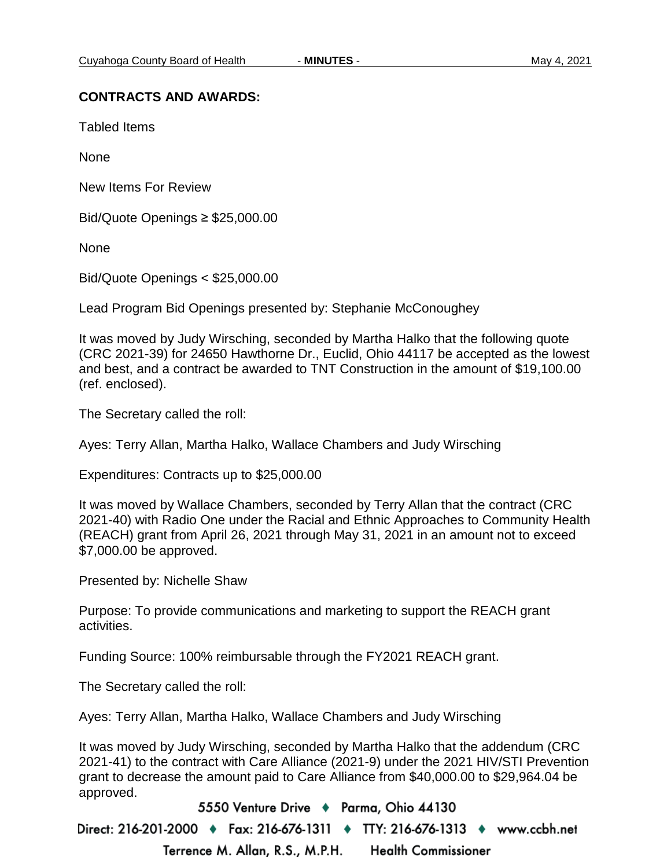#### **CONTRACTS AND AWARDS:**

Tabled Items

None

New Items For Review

Bid/Quote Openings ≥ \$25,000.00

None

Bid/Quote Openings < \$25,000.00

Lead Program Bid Openings presented by: Stephanie McConoughey

It was moved by Judy Wirsching, seconded by Martha Halko that the following quote (CRC 2021-39) for 24650 Hawthorne Dr., Euclid, Ohio 44117 be accepted as the lowest and best, and a contract be awarded to TNT Construction in the amount of \$19,100.00 (ref. enclosed).

The Secretary called the roll:

Ayes: Terry Allan, Martha Halko, Wallace Chambers and Judy Wirsching

Expenditures: Contracts up to \$25,000.00

It was moved by Wallace Chambers, seconded by Terry Allan that the contract (CRC 2021-40) with Radio One under the Racial and Ethnic Approaches to Community Health (REACH) grant from April 26, 2021 through May 31, 2021 in an amount not to exceed \$7,000.00 be approved.

Presented by: Nichelle Shaw

Purpose: To provide communications and marketing to support the REACH grant activities.

Funding Source: 100% reimbursable through the FY2021 REACH grant.

The Secretary called the roll:

Ayes: Terry Allan, Martha Halko, Wallace Chambers and Judy Wirsching

It was moved by Judy Wirsching, seconded by Martha Halko that the addendum (CRC 2021-41) to the contract with Care Alliance (2021-9) under the 2021 HIV/STI Prevention grant to decrease the amount paid to Care Alliance from \$40,000.00 to \$29,964.04 be approved.

5550 Venture Drive + Parma, Ohio 44130

Direct: 216-201-2000 ♦ Fax: 216-676-1311 ♦ TTY: 216-676-1313 ♦ www.ccbh.net

Terrence M. Allan, R.S., M.P.H. **Health Commissioner**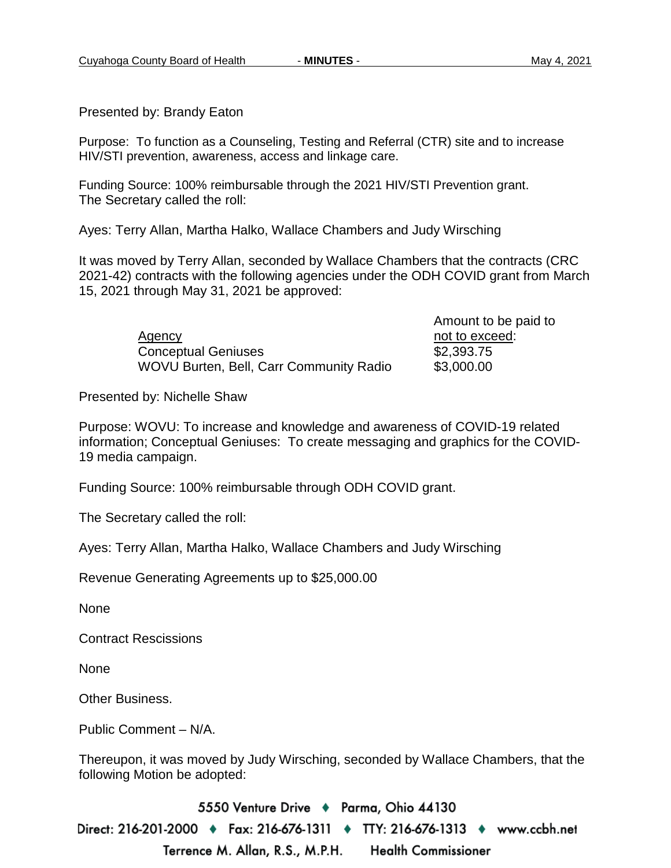Presented by: Brandy Eaton

Purpose: To function as a Counseling, Testing and Referral (CTR) site and to increase HIV/STI prevention, awareness, access and linkage care.

Funding Source: 100% reimbursable through the 2021 HIV/STI Prevention grant. The Secretary called the roll:

Ayes: Terry Allan, Martha Halko, Wallace Chambers and Judy Wirsching

It was moved by Terry Allan, seconded by Wallace Chambers that the contracts (CRC 2021-42) contracts with the following agencies under the ODH COVID grant from March 15, 2021 through May 31, 2021 be approved:

> Agency and the exceed:  $\overline{A}$  not to exceed: Conceptual Geniuses \$2,393.75 WOVU Burten, Bell, Carr Community Radio \$3,000.00

Amount to be paid to

Presented by: Nichelle Shaw

Purpose: WOVU: To increase and knowledge and awareness of COVID-19 related information; Conceptual Geniuses: To create messaging and graphics for the COVID-19 media campaign.

Funding Source: 100% reimbursable through ODH COVID grant.

The Secretary called the roll:

Ayes: Terry Allan, Martha Halko, Wallace Chambers and Judy Wirsching

Revenue Generating Agreements up to \$25,000.00

None

Contract Rescissions

None

Other Business.

Public Comment – N/A.

Thereupon, it was moved by Judy Wirsching, seconded by Wallace Chambers, that the following Motion be adopted:

5550 Venture Drive ♦ Parma, Ohio 44130 Direct: 216-201-2000 ♦ Fax: 216-676-1311 ♦ TTY: 216-676-1313 ♦ www.ccbh.net Terrence M. Allan, R.S., M.P.H. **Health Commissioner**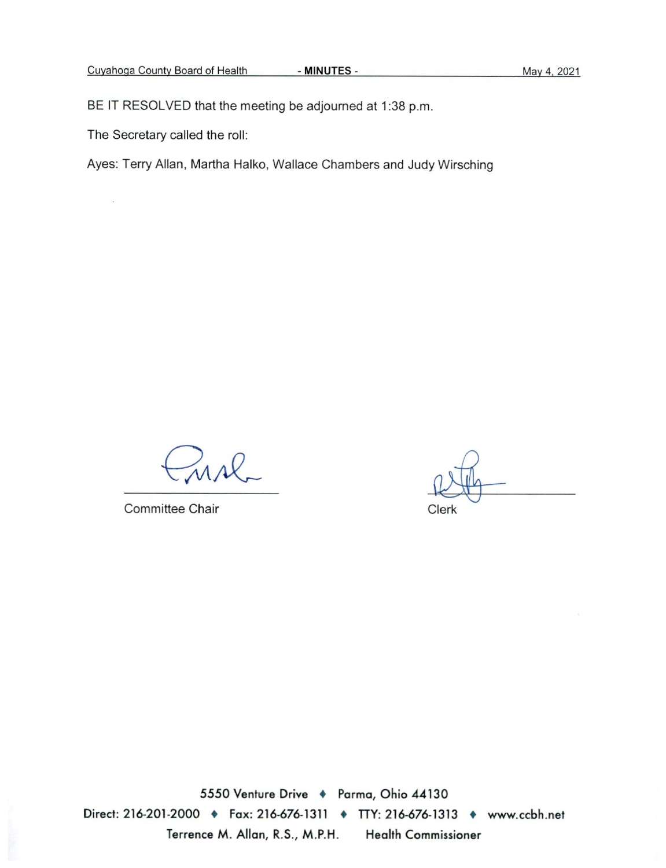BE IT RESOLVED that the meeting be adjourned at 1:38 p.m.

The Secretary called the roll:

 $\mathcal{C}_\bullet$ 

Ayes: Terry Allan, Martha Halko, Wallace Chambers and Judy Wirsching

usl

Committee Chair

Clerk

5550 Venture Drive + Parma, Ohio 44130 Direct: 216-201-2000 • Fax: 216-676-1311 • TTY: 216-676-1313 • www.ccbh.net Terrence M. Allan, R.S., M.P.H. **Health Commissioner**